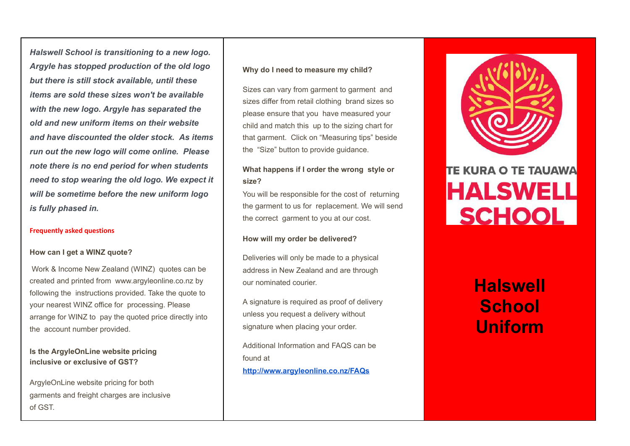*Halswell School is transitioning to a new logo. Argyle has stopped production of the old logo but there is still stock available, until these items are sold these sizes won't be available with the new logo. Argyle has separated the old and new uniform items on their website and have discounted the older stock. As items run out the new logo will come online. Please note there is no end period for when students need to stop wearing the old logo. We expect it will be sometime before the new uniform logo is fully phased in.*

#### **Frequently asked questions**

### **How can I get a WINZ quote?**

Work & Income New Zealand (WINZ) quotes can be created and printed from www.argyleonline.co.nz by following the instructions provided. Take the quote to your nearest WINZ office for processing. Please arrange for WINZ to pay the quoted price directly into the account number provided.

### **Is the ArgyleOnLine website pricing inclusive or exclusive of GST?**

ArgyleOnLine website pricing for both garments and freight charges are inclusive of GST.

### **Why do I need to measure my child?**

Sizes can vary from garment to garment and sizes differ from retail clothing brand sizes so please ensure that you have measured your child and match this up to the sizing chart for that garment. Click on "Measuring tips" beside the "Size" button to provide guidance.

## **What happens if I order the wrong style or size?**

You will be responsible for the cost of returning the garment to us for replacement. We will send the correct garment to you at our cost.

### **How will my order be delivered?**

Deliveries will only be made to a physical address in New Zealand and are through our nominated courier.

A signature is required as proof of delivery unless you request a delivery without signature when placing your order.

Additional Information and FAQS can be found at **<http://www.argyleonline.co.nz/FAQs>**



# **TE KURA O TE TAUAWA HALSWELL SCHOOL**

# **Halswell School Uniform**